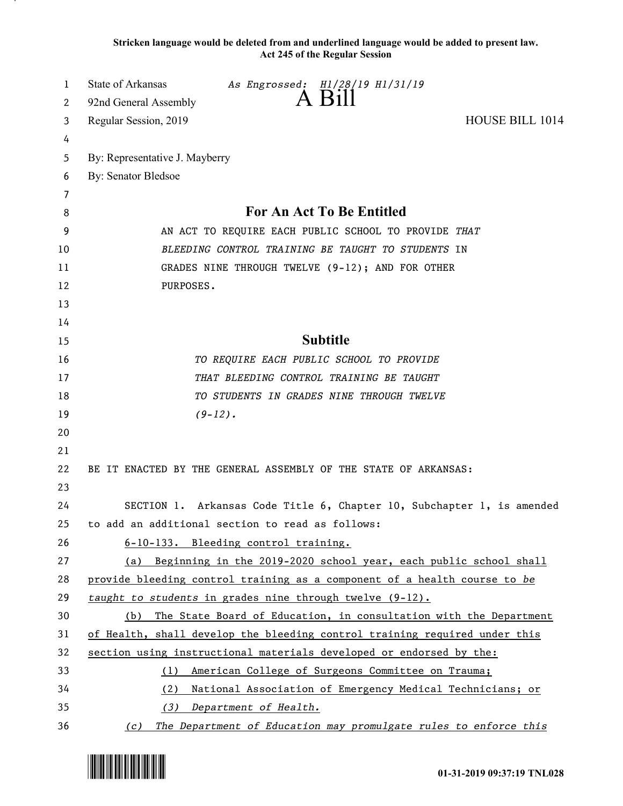**Stricken language would be deleted from and underlined language would be added to present law. Act 245 of the Regular Session**

| 1        | State of Arkansas<br>As Engrossed: H1/28/19 H1/31/19<br>A Bill                                                            |  |  |
|----------|---------------------------------------------------------------------------------------------------------------------------|--|--|
| 2        | 92nd General Assembly                                                                                                     |  |  |
| 3        | <b>HOUSE BILL 1014</b><br>Regular Session, 2019                                                                           |  |  |
| 4        | By: Representative J. Mayberry                                                                                            |  |  |
| 5<br>6   | <b>By: Senator Bledsoe</b>                                                                                                |  |  |
| 7        |                                                                                                                           |  |  |
| 8        | For An Act To Be Entitled                                                                                                 |  |  |
| 9        | AN ACT TO REQUIRE EACH PUBLIC SCHOOL TO PROVIDE THAT                                                                      |  |  |
| 10       | BLEEDING CONTROL TRAINING BE TAUGHT TO STUDENTS IN                                                                        |  |  |
| 11       | GRADES NINE THROUGH TWELVE (9-12); AND FOR OTHER                                                                          |  |  |
| 12       | PURPOSES.                                                                                                                 |  |  |
| 13       |                                                                                                                           |  |  |
| 14       |                                                                                                                           |  |  |
| 15       | <b>Subtitle</b>                                                                                                           |  |  |
| 16       | TO REQUIRE EACH PUBLIC SCHOOL TO PROVIDE                                                                                  |  |  |
| 17       | THAT BLEEDING CONTROL TRAINING BE TAUGHT                                                                                  |  |  |
| 18       | TO STUDENTS IN GRADES NINE THROUGH TWELVE                                                                                 |  |  |
| 19       | $(9-12)$ .                                                                                                                |  |  |
| 20       |                                                                                                                           |  |  |
| 21       |                                                                                                                           |  |  |
| 22       | BE IT ENACTED BY THE GENERAL ASSEMBLY OF THE STATE OF ARKANSAS:                                                           |  |  |
| 23       |                                                                                                                           |  |  |
| 24       | SECTION 1. Arkansas Code Title 6, Chapter 10, Subchapter 1, is amended                                                    |  |  |
| 25       | to add an additional section to read as follows:                                                                          |  |  |
| 26       | 6-10-133. Bleeding control training.                                                                                      |  |  |
| 27       | (a) Beginning in the 2019-2020 school year, each public school shall                                                      |  |  |
| 28       | provide bleeding control training as a component of a health course to be                                                 |  |  |
| 29       | taught to students in grades nine through twelve $(9-12)$ .                                                               |  |  |
| 30       | The State Board of Education, in consultation with the Department<br>(b)                                                  |  |  |
| 31       | of Health, shall develop the bleeding control training required under this                                                |  |  |
| 32       | section using instructional materials developed or endorsed by the:                                                       |  |  |
| 33<br>34 | (1) American College of Surgeons Committee on Trauma;<br>National Association of Emergency Medical Technicians; or<br>(2) |  |  |
| 35       | Department of Health.<br>(3)                                                                                              |  |  |
|          |                                                                                                                           |  |  |